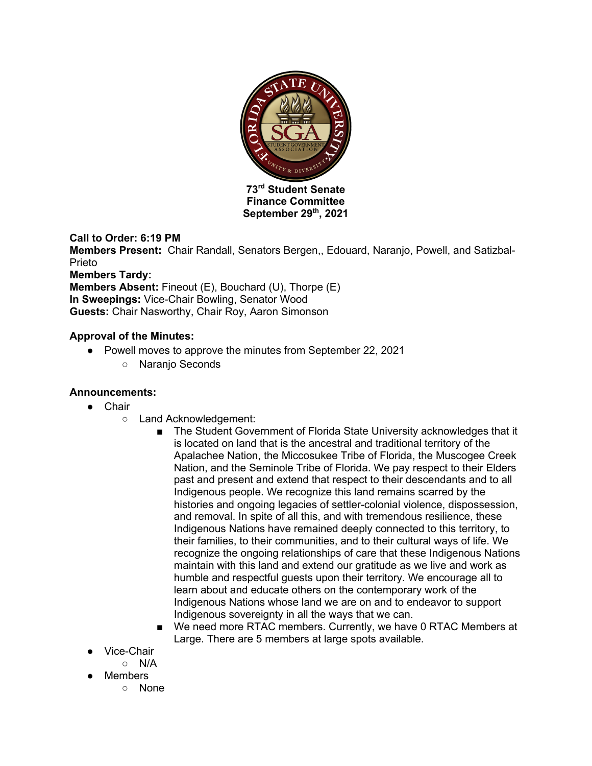

**Finance Committee September 29th, 2021**

### **Call to Order: 6:19 PM**

**Members Present:** Chair Randall, Senators Bergen,, Edouard, Naranjo, Powell, and Satizbal-Prieto

**Members Tardy:** 

**Members Absent:** Fineout (E), Bouchard (U), Thorpe (E) **In Sweepings:** Vice-Chair Bowling, Senator Wood **Guests:** Chair Nasworthy, Chair Roy, Aaron Simonson

### **Approval of the Minutes:**

- Powell moves to approve the minutes from September 22, 2021
	- Naranjo Seconds

### **Announcements:**

- Chair
	- Land Acknowledgement:
		- The Student Government of Florida State University acknowledges that it is located on land that is the ancestral and traditional territory of the Apalachee Nation, the Miccosukee Tribe of Florida, the Muscogee Creek Nation, and the Seminole Tribe of Florida. We pay respect to their Elders past and present and extend that respect to their descendants and to all Indigenous people. We recognize this land remains scarred by the histories and ongoing legacies of settler-colonial violence, dispossession, and removal. In spite of all this, and with tremendous resilience, these Indigenous Nations have remained deeply connected to this territory, to their families, to their communities, and to their cultural ways of life. We recognize the ongoing relationships of care that these Indigenous Nations maintain with this land and extend our gratitude as we live and work as humble and respectful guests upon their territory. We encourage all to learn about and educate others on the contemporary work of the Indigenous Nations whose land we are on and to endeavor to support Indigenous sovereignty in all the ways that we can.
		- We need more RTAC members. Currently, we have 0 RTAC Members at Large. There are 5 members at large spots available.
- Vice-Chair
	- N/A
- Members
	- None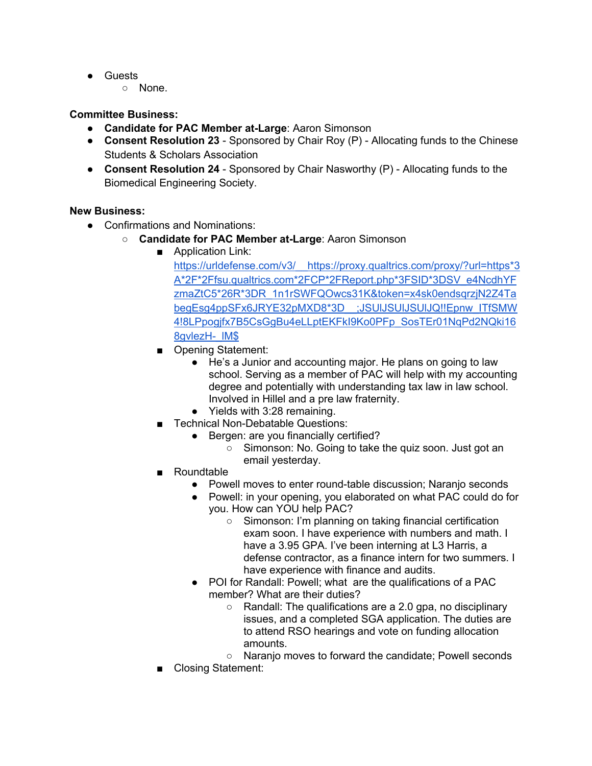- Guests
	- None.

### **Committee Business:**

- **Candidate for PAC Member at-Large**: Aaron Simonson
- **Consent Resolution 23** Sponsored by Chair Roy (P) Allocating funds to the Chinese Students & Scholars Association
- **Consent Resolution 24** Sponsored by Chair Nasworthy (P) Allocating funds to the Biomedical Engineering Society.

#### **New Business:**

- Confirmations and Nominations:
	- **Candidate for PAC Member at-Large**: Aaron Simonson
		- Application Link:

https://urldefense.com/v3/\_\_https://proxy.qualtrics.com/proxy/?url=https\*3 A\*2F\*2Ffsu.qualtrics.com\*2FCP\*2FReport.php\*3FSID\*3DSV\_e4NcdhYF zmaZtC5\*26R\*3DR\_1n1rSWFQOwcs31K&token=x4sk0endsqrzjN2Z4Ta begEsg4ppSFx6JRYE32pMXD8\*3D\_\_;JSUlJSUlJSUlJQ!!Epnw\_ITfSMW 4!8LPpogjfx7B5CsGgBu4eLLptEKFkI9Ko0PFp\_SosTEr01NqPd2NQki16 8gvlezH- IM\$

- Opening Statement:
	- He's a Junior and accounting major. He plans on going to law school. Serving as a member of PAC will help with my accounting degree and potentially with understanding tax law in law school. Involved in Hillel and a pre law fraternity.
	- Yields with 3:28 remaining.
- Technical Non-Debatable Questions:
	- Bergen: are you financially certified?
		- Simonson: No. Going to take the quiz soon. Just got an email yesterday.
- Roundtable
	- Powell moves to enter round-table discussion; Naranjo seconds
	- Powell: in your opening, you elaborated on what PAC could do for you. How can YOU help PAC?
		- Simonson: I'm planning on taking financial certification exam soon. I have experience with numbers and math. I have a 3.95 GPA. I've been interning at L3 Harris, a defense contractor, as a finance intern for two summers. I have experience with finance and audits.
	- POI for Randall: Powell; what are the qualifications of a PAC member? What are their duties?
		- Randall: The qualifications are a 2.0 gpa, no disciplinary issues, and a completed SGA application. The duties are to attend RSO hearings and vote on funding allocation amounts.
		- Naranio moves to forward the candidate: Powell seconds
- Closing Statement: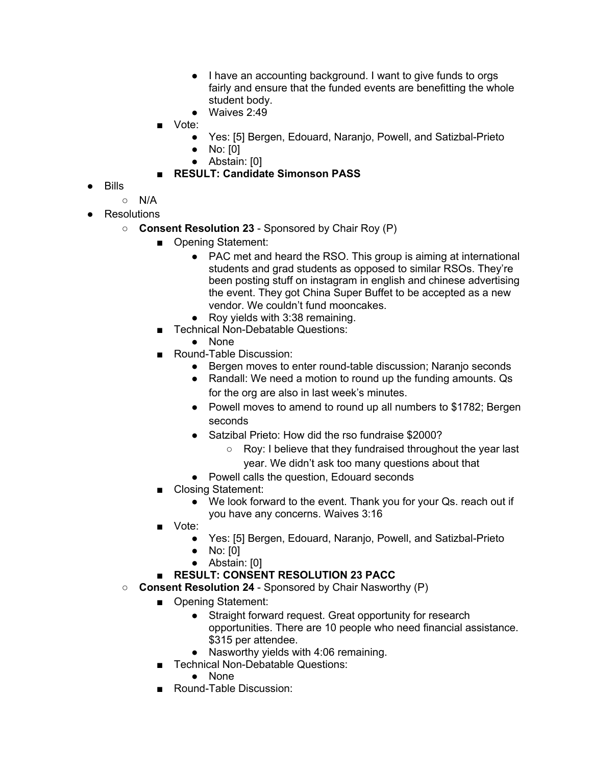- I have an accounting background. I want to give funds to orgs fairly and ensure that the funded events are benefitting the whole student body.
- Waives 2:49
- Vote:
	- Yes: [5] Bergen, Edouard, Naranjo, Powell, and Satizbal-Prieto
	- No: [0]
	- Abstain: [0]
- **RESULT: Candidate Simonson PASS**
- Bills
	- N/A
- Resolutions
	- **Consent Resolution 23** Sponsored by Chair Roy (P)
		- Opening Statement:
			- PAC met and heard the RSO. This group is aiming at international students and grad students as opposed to similar RSOs. They're been posting stuff on instagram in english and chinese advertising the event. They got China Super Buffet to be accepted as a new vendor. We couldn't fund mooncakes.
			- Roy yields with 3:38 remaining.
		- Technical Non-Debatable Questions:
			- None
		- Round-Table Discussion:
			- Bergen moves to enter round-table discussion; Naranjo seconds
			- Randall: We need a motion to round up the funding amounts. Qs for the org are also in last week's minutes.
			- Powell moves to amend to round up all numbers to \$1782; Bergen seconds
			- Satzibal Prieto: How did the rso fundraise \$2000?
				- Roy: I believe that they fundraised throughout the year last
				- year. We didn't ask too many questions about that
			- Powell calls the question, Edouard seconds
		- Closing Statement:
			- We look forward to the event. Thank you for your Qs. reach out if you have any concerns. Waives 3:16
		- Vote:
			- Yes: [5] Bergen, Edouard, Naranjo, Powell, and Satizbal-Prieto
			- No: [0]
			- Abstain: [0]
		- **RESULT: CONSENT RESOLUTION 23 PACC**
	- **Consent Resolution 24** Sponsored by Chair Nasworthy (P)
		- Opening Statement:
			- Straight forward request. Great opportunity for research opportunities. There are 10 people who need financial assistance. \$315 per attendee.
			- Nasworthy yields with 4:06 remaining.
		- Technical Non-Debatable Questions:
			- None
		- Round-Table Discussion: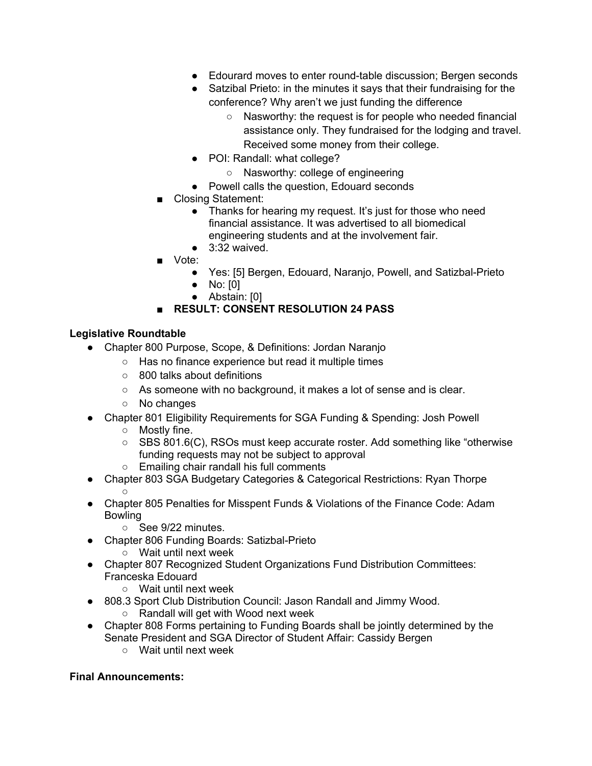- Edourard moves to enter round-table discussion: Bergen seconds
- Satzibal Prieto: in the minutes it says that their fundraising for the conference? Why aren't we just funding the difference
	- Nasworthy: the request is for people who needed financial assistance only. They fundraised for the lodging and travel. Received some money from their college.
- POI: Randall: what college?
	- Nasworthy: college of engineering
- Powell calls the question, Edouard seconds
- Closing Statement:
	- Thanks for hearing my request. It's just for those who need financial assistance. It was advertised to all biomedical engineering students and at the involvement fair.
	- $\bullet$  3:32 waived.
- Vote:
	- Yes: [5] Bergen, Edouard, Naranjo, Powell, and Satizbal-Prieto
	- No: [0]
	- Abstain: [0]

# **RESULT: CONSENT RESOLUTION 24 PASS**

### **Legislative Roundtable**

- Chapter 800 Purpose, Scope, & Definitions: Jordan Naranjo
	- Has no finance experience but read it multiple times
	- 800 talks about definitions
	- As someone with no background, it makes a lot of sense and is clear.
	- No changes
- Chapter 801 Eligibility Requirements for SGA Funding & Spending: Josh Powell
	- Mostly fine.
	- SBS 801.6(C), RSOs must keep accurate roster. Add something like "otherwise" funding requests may not be subject to approval
	- Emailing chair randall his full comments
- Chapter 803 SGA Budgetary Categories & Categorical Restrictions: Ryan Thorpe  $\circ$
- Chapter 805 Penalties for Misspent Funds & Violations of the Finance Code: Adam Bowling
	- See 9/22 minutes.
- Chapter 806 Funding Boards: Satizbal-Prieto
	- Wait until next week
- Chapter 807 Recognized Student Organizations Fund Distribution Committees: Franceska Edouard
	- Wait until next week
- 808.3 Sport Club Distribution Council: Jason Randall and Jimmy Wood.
	- Randall will get with Wood next week
- Chapter 808 Forms pertaining to Funding Boards shall be jointly determined by the Senate President and SGA Director of Student Affair: Cassidy Bergen
	- Wait until next week

#### **Final Announcements:**